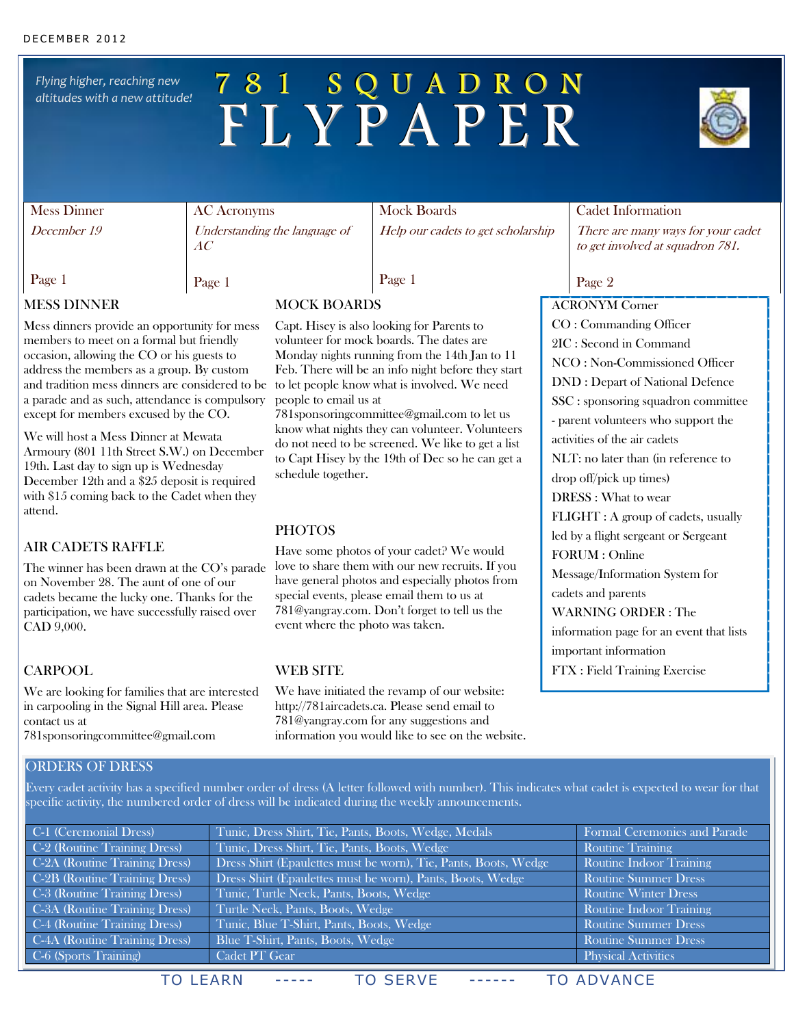*Flying higher, reaching new altitudes with a new attitude!*

# 7 8 1 S Q U A D R O N F L Y P A P E R



## Mess Dinner

December 19

Page 1

AC Acronyms Understanding the language of AC

Mock Boards Help our cadets to get scholarship Cadet Information

There are many ways for your cadet to get involved at squadron 781.

### Page 2

ACRONYM Corner

CO : Commanding Officer 2IC : Second in Command

activities of the air cadets

drop off/pick up times) DRESS : What to wear

FORUM : Online

cadets and parents

important information

NCO : Non-Commissioned Officer DND : Depart of National Defence SSC : sponsoring squadron committee - parent volunteers who support the

NLT: no later than (in reference to

FLIGHT : A group of cadets, usually led by a flight sergeant or Sergeant

Message/Information System for

information page for an event that lists

WARNING ORDER : The

FTX : Field Training Exercise

MESS DINNER

Mess dinners provide an opportunity for mess members to meet on a formal but friendly occasion, allowing the CO or his guests to address the members as a group. By custom and tradition mess dinners are considered to be a parade and as such, attendance is compulsory except for members excused by the CO.

We will host a Mess Dinner at Mewata Armoury (801 11th Street S.W.) on December 19th. Last day to sign up is Wednesday December 12th and a \$25 deposit is required with \$15 coming back to the Cadet when they attend.

### AIR CADETS RAFFLE

The winner has been drawn at the CO's parade on November 28. The aunt of one of our cadets became the lucky one. Thanks for the participation, we have successfully raised over CAD 9,000.

### CARPOOL

We are looking for families that are interested in carpooling in the Signal Hill area. Please contact us at 781sponsoringcommittee@gmail.com

### ORDERS OF DRESS

Every cadet activity has a specified number order of dress (A letter followed with number). This indicates what cadet is expected to wear for that specific activity, the numbered order of dress will be indicated during the weekly announcements.

| C-1 (Ceremonial Dress)        | Tunic, Dress Shirt, Tie, Pants, Boots, Wedge, Medals            | Formal Ceremonies and Parade |
|-------------------------------|-----------------------------------------------------------------|------------------------------|
| C-2 (Routine Training Dress)  | Tunic, Dress Shirt, Tie, Pants, Boots, Wedge                    | <b>Routine Training</b>      |
| C-2A (Routine Training Dress) | Dress Shirt (Epaulettes must be worn), Tie, Pants, Boots, Wedge | Routine Indoor Training      |
| C-2B (Routine Training Dress) | Dress Shirt (Epaulettes must be worn), Pants, Boots, Wedge      | <b>Routine Summer Dress</b>  |
| C-3 (Routine Training Dress)  | Tunic, Turtle Neck, Pants, Boots, Wedge                         | <b>Routine Winter Dress</b>  |
| C-3A (Routine Training Dress) | Turtle Neck, Pants, Boots, Wedge                                | Routine Indoor Training      |
| C-4 (Routine Training Dress)  | Tunic, Blue T-Shirt, Pants, Boots, Wedge                        | <b>Routine Summer Dress</b>  |
| C-4A (Routine Training Dress) | Blue T-Shirt, Pants, Boots, Wedge                               | <b>Routine Summer Dress</b>  |
| C-6 (Sports Training)         | Cadet PT Gear                                                   | <b>Physical Activities</b>   |
|                               |                                                                 |                              |

TO LEARN ----- TO SERVE ------ TO ADVANCE

**PHOTOS** 

love to share them with our new recruits. If you have general photos and especially photos from special events, please email them to us at 781@yangray.com. Don't forget to tell us the event where the photo was taken.

### WEB SITE

We have initiated the revamp of our website: http://781aircadets.ca. Please send email to 781@yangray.com for any suggestions and information you would like to see on the website.

Page 1

Page 1

### MOCK BOARDS

Capt. Hisey is also looking for Parents to volunteer for mock boards. The dates are Monday nights running from the 14th Jan to 11 Feb. There will be an info night before they start to let people know what is involved. We need people to email us at

781sponsoringcommittee@gmail.com to let us know what nights they can volunteer. Volunteers do not need to be screened. We like to get a list to Capt Hisey by the 19th of Dec so he can get a schedule together.

Have some photos of your cadet? We would